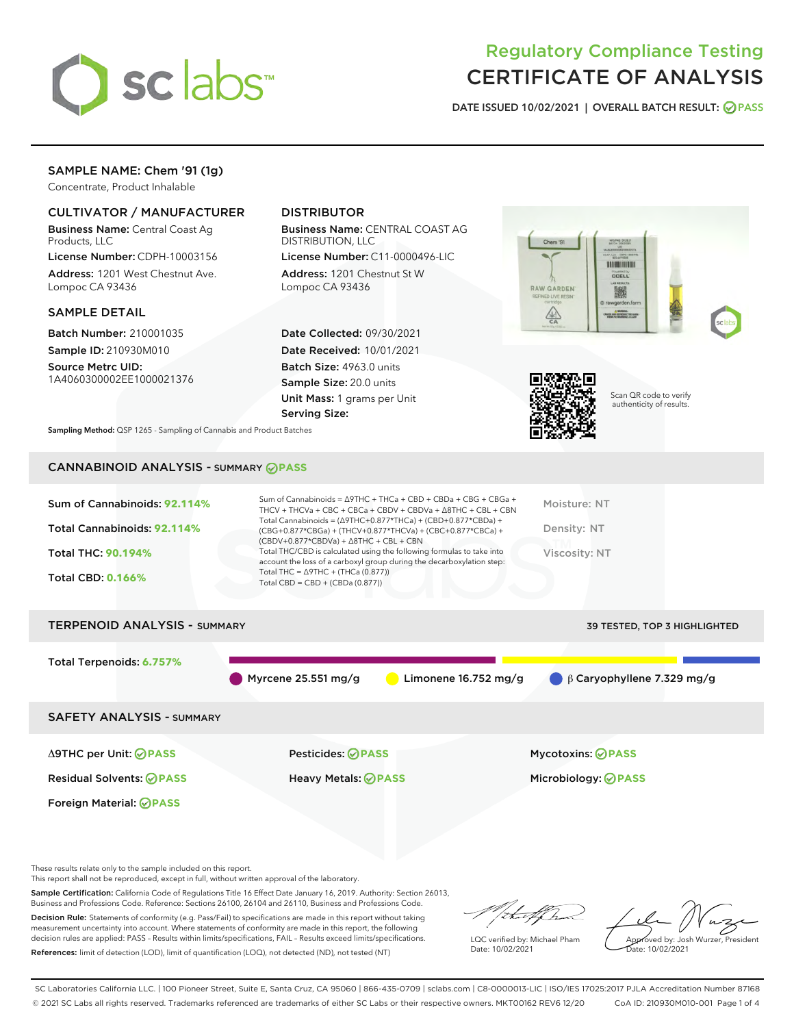

# Regulatory Compliance Testing CERTIFICATE OF ANALYSIS

DATE ISSUED 10/02/2021 | OVERALL BATCH RESULT: @ PASS

## SAMPLE NAME: Chem '91 (1g)

Concentrate, Product Inhalable

## CULTIVATOR / MANUFACTURER

Business Name: Central Coast Ag Products, LLC

License Number: CDPH-10003156 Address: 1201 West Chestnut Ave. Lompoc CA 93436

## SAMPLE DETAIL

Batch Number: 210001035 Sample ID: 210930M010

Source Metrc UID: 1A4060300002EE1000021376

## DISTRIBUTOR

Business Name: CENTRAL COAST AG DISTRIBUTION, LLC

License Number: C11-0000496-LIC Address: 1201 Chestnut St W Lompoc CA 93436

Date Collected: 09/30/2021 Date Received: 10/01/2021 Batch Size: 4963.0 units Sample Size: 20.0 units Unit Mass: 1 grams per Unit Serving Size:





Scan QR code to verify authenticity of results.

Sampling Method: QSP 1265 - Sampling of Cannabis and Product Batches

## CANNABINOID ANALYSIS - SUMMARY **PASS**

| Sum of Cannabinoids: 92.114%<br>Total Cannabinoids: 92.114%<br><b>Total THC: 90.194%</b><br><b>Total CBD: 0.166%</b> | Sum of Cannabinoids = $\triangle$ 9THC + THCa + CBD + CBDa + CBG + CBGa +<br>THCV + THCVa + CBC + CBCa + CBDV + CBDVa + $\land$ 8THC + CBL + CBN<br>Total Cannabinoids = $(\Delta$ 9THC+0.877*THCa) + (CBD+0.877*CBDa) +<br>(CBG+0.877*CBGa) + (THCV+0.877*THCVa) + (CBC+0.877*CBCa) +<br>$(CBDV+0.877*CBDVa) + \Delta 8THC + CBL + CBN$<br>Total THC/CBD is calculated using the following formulas to take into<br>account the loss of a carboxyl group during the decarboxylation step:<br>Total THC = $\triangle$ 9THC + (THCa (0.877))<br>Total CBD = $CBD + (CBDa (0.877))$ | Moisture: NT<br>Density: NT<br><b>Viscosity: NT</b> |
|----------------------------------------------------------------------------------------------------------------------|-----------------------------------------------------------------------------------------------------------------------------------------------------------------------------------------------------------------------------------------------------------------------------------------------------------------------------------------------------------------------------------------------------------------------------------------------------------------------------------------------------------------------------------------------------------------------------------|-----------------------------------------------------|
| <b>TERPENOID ANALYSIS - SUMMARY</b>                                                                                  |                                                                                                                                                                                                                                                                                                                                                                                                                                                                                                                                                                                   | <b>39 TESTED, TOP 3 HIGHLIGHTED</b>                 |
| Total Terpenoids: 6.757%                                                                                             | Myrcene 25.551 mg/g<br>Limonene 16.752 mg/g                                                                                                                                                                                                                                                                                                                                                                                                                                                                                                                                       | $\bigcirc$ $\beta$ Caryophyllene 7.329 mg/g         |
| <b>SAFETY ANALYSIS - SUMMARY</b>                                                                                     |                                                                                                                                                                                                                                                                                                                                                                                                                                                                                                                                                                                   |                                                     |
| ∆9THC per Unit: ⊘PASS                                                                                                | Pesticides: ⊘PASS                                                                                                                                                                                                                                                                                                                                                                                                                                                                                                                                                                 | <b>Mycotoxins: ⊘PASS</b>                            |

Residual Solvents: **PASS** Heavy Metals: **PASS** Microbiology: **PASS**

These results relate only to the sample included on this report.

Foreign Material: **PASS**

This report shall not be reproduced, except in full, without written approval of the laboratory.

Sample Certification: California Code of Regulations Title 16 Effect Date January 16, 2019. Authority: Section 26013, Business and Professions Code. Reference: Sections 26100, 26104 and 26110, Business and Professions Code.

Decision Rule: Statements of conformity (e.g. Pass/Fail) to specifications are made in this report without taking measurement uncertainty into account. Where statements of conformity are made in this report, the following decision rules are applied: PASS – Results within limits/specifications, FAIL – Results exceed limits/specifications. References: limit of detection (LOD), limit of quantification (LOQ), not detected (ND), not tested (NT)

that f ha

LQC verified by: Michael Pham Date: 10/02/2021

Approved by: Josh Wurzer, President Date: 10/02/2021

SC Laboratories California LLC. | 100 Pioneer Street, Suite E, Santa Cruz, CA 95060 | 866-435-0709 | sclabs.com | C8-0000013-LIC | ISO/IES 17025:2017 PJLA Accreditation Number 87168 © 2021 SC Labs all rights reserved. Trademarks referenced are trademarks of either SC Labs or their respective owners. MKT00162 REV6 12/20 CoA ID: 210930M010-001 Page 1 of 4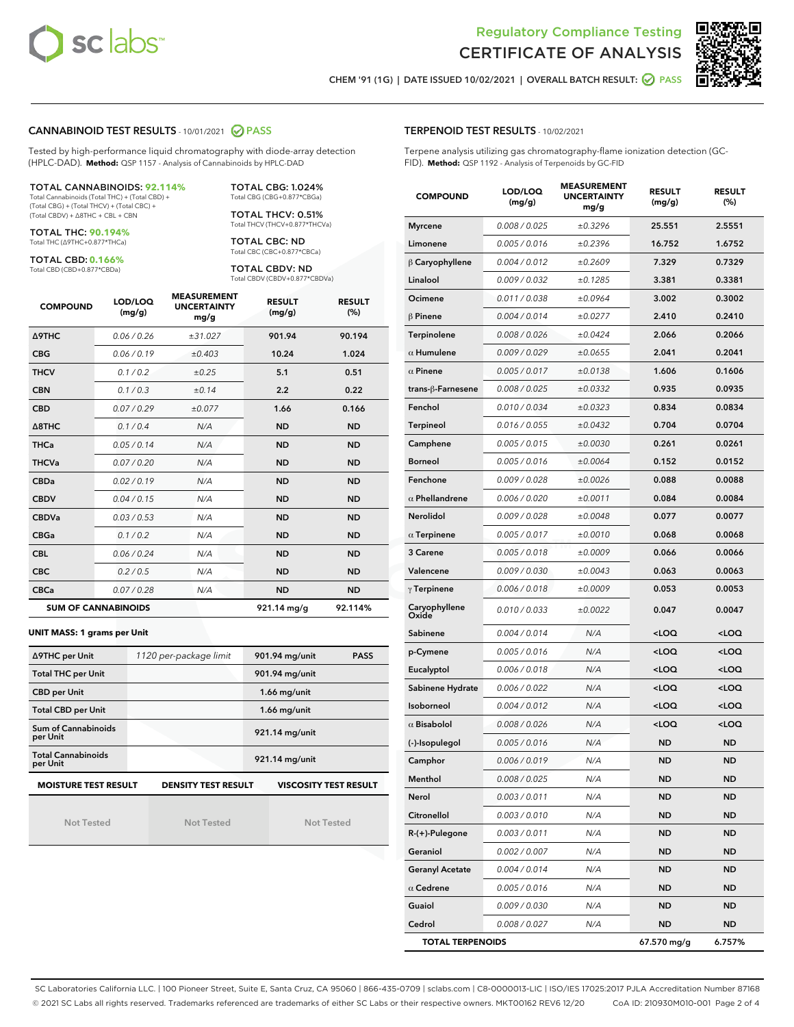



CHEM '91 (1G) | DATE ISSUED 10/02/2021 | OVERALL BATCH RESULT: 0 PASS

#### CANNABINOID TEST RESULTS - 10/01/2021 2 PASS

Tested by high-performance liquid chromatography with diode-array detection (HPLC-DAD). **Method:** QSP 1157 - Analysis of Cannabinoids by HPLC-DAD

#### TOTAL CANNABINOIDS: **92.114%**

Total Cannabinoids (Total THC) + (Total CBD) + (Total CBG) + (Total THCV) + (Total CBC) + (Total CBDV) + ∆8THC + CBL + CBN

TOTAL THC: **90.194%** Total THC (∆9THC+0.877\*THCa)

TOTAL CBD: **0.166%**

Total CBD (CBD+0.877\*CBDa)

TOTAL CBG: 1.024% Total CBG (CBG+0.877\*CBGa)

TOTAL THCV: 0.51% Total THCV (THCV+0.877\*THCVa)

TOTAL CBC: ND Total CBC (CBC+0.877\*CBCa)

TOTAL CBDV: ND Total CBDV (CBDV+0.877\*CBDVa)

| <b>COMPOUND</b>  | LOD/LOQ<br>(mg/g)          | <b>MEASUREMENT</b><br><b>UNCERTAINTY</b><br>mg/g | <b>RESULT</b><br>(mg/g) | <b>RESULT</b><br>(%) |
|------------------|----------------------------|--------------------------------------------------|-------------------------|----------------------|
| <b>A9THC</b>     | 0.06/0.26                  | ±31.027                                          | 901.94                  | 90.194               |
| <b>CBG</b>       | 0.06/0.19                  | ±0.403                                           | 10.24                   | 1.024                |
| <b>THCV</b>      | 0.1 / 0.2                  | ±0.25                                            | 5.1                     | 0.51                 |
| <b>CBN</b>       | 0.1/0.3                    | ±0.14                                            | 2.2                     | 0.22                 |
| <b>CBD</b>       | 0.07/0.29                  | ±0.077                                           | 1.66                    | 0.166                |
| $\triangle$ 8THC | 0.1/0.4                    | N/A                                              | <b>ND</b>               | <b>ND</b>            |
| <b>THCa</b>      | 0.05/0.14                  | N/A                                              | <b>ND</b>               | <b>ND</b>            |
| <b>THCVa</b>     | 0.07/0.20                  | N/A                                              | <b>ND</b>               | <b>ND</b>            |
| <b>CBDa</b>      | 0.02/0.19                  | N/A                                              | <b>ND</b>               | <b>ND</b>            |
| <b>CBDV</b>      | 0.04/0.15                  | N/A                                              | <b>ND</b>               | <b>ND</b>            |
| <b>CBDVa</b>     | 0.03/0.53                  | N/A                                              | <b>ND</b>               | <b>ND</b>            |
| <b>CBGa</b>      | 0.1 / 0.2                  | N/A                                              | <b>ND</b>               | <b>ND</b>            |
| <b>CBL</b>       | 0.06 / 0.24                | N/A                                              | <b>ND</b>               | <b>ND</b>            |
| <b>CBC</b>       | 0.2 / 0.5                  | N/A                                              | <b>ND</b>               | <b>ND</b>            |
| <b>CBCa</b>      | 0.07 / 0.28                | N/A                                              | <b>ND</b>               | <b>ND</b>            |
|                  | <b>SUM OF CANNABINOIDS</b> |                                                  | 921.14 mg/g             | 92.114%              |

**UNIT MASS: 1 grams per Unit**

| ∆9THC per Unit                                                                            | 1120 per-package limit | 901.94 mg/unit<br><b>PASS</b> |  |  |  |
|-------------------------------------------------------------------------------------------|------------------------|-------------------------------|--|--|--|
| <b>Total THC per Unit</b>                                                                 |                        | 901.94 mg/unit                |  |  |  |
| <b>CBD per Unit</b>                                                                       |                        | $1.66$ mg/unit                |  |  |  |
| <b>Total CBD per Unit</b>                                                                 |                        | $1.66$ mg/unit                |  |  |  |
| Sum of Cannabinoids<br>per Unit                                                           |                        | 921.14 mg/unit                |  |  |  |
| <b>Total Cannabinoids</b><br>per Unit                                                     |                        | 921.14 mg/unit                |  |  |  |
| <b>MOISTURE TEST RESULT</b><br><b>VISCOSITY TEST RESULT</b><br><b>DENSITY TEST RESULT</b> |                        |                               |  |  |  |

Not Tested

Not Tested

Not Tested

## TERPENOID TEST RESULTS - 10/02/2021

Terpene analysis utilizing gas chromatography-flame ionization detection (GC-FID). **Method:** QSP 1192 - Analysis of Terpenoids by GC-FID

| <b>COMPOUND</b>         | LOD/LOQ<br>(mg/g) | <b>MEASUREMENT</b><br><b>UNCERTAINTY</b><br>mg/g | <b>RESULT</b><br>(mg/g)                         | <b>RESULT</b><br>(%) |
|-------------------------|-------------------|--------------------------------------------------|-------------------------------------------------|----------------------|
| <b>Myrcene</b>          | 0.008 / 0.025     | ±0.3296                                          | 25.551                                          | 2.5551               |
| Limonene                | 0.005 / 0.016     | ±0.2396                                          | 16.752                                          | 1.6752               |
| $\beta$ Caryophyllene   | 0.004 / 0.012     | ±0.2609                                          | 7.329                                           | 0.7329               |
| Linalool                | 0.009 / 0.032     | ±0.1285                                          | 3.381                                           | 0.3381               |
| Ocimene                 | 0.011 / 0.038     | ±0.0964                                          | 3.002                                           | 0.3002               |
| $\beta$ Pinene          | 0.004 / 0.014     | ±0.0277                                          | 2.410                                           | 0.2410               |
| Terpinolene             | 0.008 / 0.026     | ±0.0424                                          | 2.066                                           | 0.2066               |
| $\alpha$ Humulene       | 0.009/0.029       | ±0.0655                                          | 2.041                                           | 0.2041               |
| $\alpha$ Pinene         | 0.005 / 0.017     | ±0.0138                                          | 1.606                                           | 0.1606               |
| trans-ß-Farnesene       | 0.008 / 0.025     | ±0.0332                                          | 0.935                                           | 0.0935               |
| Fenchol                 | 0.010 / 0.034     | ±0.0323                                          | 0.834                                           | 0.0834               |
| <b>Terpineol</b>        | 0.016 / 0.055     | ±0.0432                                          | 0.704                                           | 0.0704               |
| Camphene                | 0.005 / 0.015     | ±0.0030                                          | 0.261                                           | 0.0261               |
| <b>Borneol</b>          | 0.005 / 0.016     | ±0.0064                                          | 0.152                                           | 0.0152               |
| Fenchone                | 0.009 / 0.028     | ±0.0026                                          | 0.088                                           | 0.0088               |
| $\alpha$ Phellandrene   | 0.006 / 0.020     | ±0.0011                                          | 0.084                                           | 0.0084               |
| Nerolidol               | 0.009 / 0.028     | ±0.0048                                          | 0.077                                           | 0.0077               |
| $\alpha$ Terpinene      | 0.005 / 0.017     | ±0.0010                                          | 0.068                                           | 0.0068               |
| 3 Carene                | 0.005 / 0.018     | ±0.0009                                          | 0.066                                           | 0.0066               |
| Valencene               | 0.009 / 0.030     | ±0.0043                                          | 0.063                                           | 0.0063               |
| $\gamma$ Terpinene      | 0.006 / 0.018     | ±0.0009                                          | 0.053                                           | 0.0053               |
| Caryophyllene<br>Oxide  | 0.010 / 0.033     | ±0.0022                                          | 0.047                                           | 0.0047               |
| Sabinene                | 0.004 / 0.014     | N/A                                              | <loq< th=""><th><loq< th=""></loq<></th></loq<> | <loq< th=""></loq<>  |
| p-Cymene                | 0.005 / 0.016     | N/A                                              | <loq< th=""><th><loq< th=""></loq<></th></loq<> | <loq< th=""></loq<>  |
| Eucalyptol              | 0.006 / 0.018     | N/A                                              | <loq< th=""><th><loq< th=""></loq<></th></loq<> | <loq< th=""></loq<>  |
| Sabinene Hydrate        | 0.006 / 0.022     | N/A                                              | <loq< th=""><th><loq< th=""></loq<></th></loq<> | <loq< th=""></loq<>  |
| Isoborneol              | 0.004 / 0.012     | N/A                                              | <loq< th=""><th><loq< th=""></loq<></th></loq<> | <loq< th=""></loq<>  |
| $\alpha$ Bisabolol      | 0.008 / 0.026     | N/A                                              | <loq< th=""><th><loq< th=""></loq<></th></loq<> | <loq< th=""></loq<>  |
| (-)-Isopulegol          | 0.005 / 0.016     | N/A                                              | ND                                              | <b>ND</b>            |
| Camphor                 | 0.006 / 0.019     | N/A                                              | ND                                              | <b>ND</b>            |
| Menthol                 | 0.008 / 0.025     | N/A                                              | ND                                              | <b>ND</b>            |
| Nerol                   | 0.003 / 0.011     | N/A                                              | ND                                              | ND                   |
| Citronellol             | 0.003 / 0.010     | N/A                                              | ND                                              | <b>ND</b>            |
| R-(+)-Pulegone          | 0.003 / 0.011     | N/A                                              | <b>ND</b>                                       | <b>ND</b>            |
| Geraniol                | 0.002 / 0.007     | N/A                                              | ND                                              | ND                   |
| <b>Geranyl Acetate</b>  | 0.004 / 0.014     | N/A                                              | ND                                              | ND                   |
| $\alpha$ Cedrene        | 0.005 / 0.016     | N/A                                              | <b>ND</b>                                       | <b>ND</b>            |
| Guaiol                  | 0.009 / 0.030     | N/A                                              | ND                                              | ND                   |
| Cedrol                  | 0.008 / 0.027     | N/A                                              | ND                                              | <b>ND</b>            |
| <b>TOTAL TERPENOIDS</b> |                   |                                                  | 67.570 mg/g                                     | 6.757%               |

SC Laboratories California LLC. | 100 Pioneer Street, Suite E, Santa Cruz, CA 95060 | 866-435-0709 | sclabs.com | C8-0000013-LIC | ISO/IES 17025:2017 PJLA Accreditation Number 87168 © 2021 SC Labs all rights reserved. Trademarks referenced are trademarks of either SC Labs or their respective owners. MKT00162 REV6 12/20 CoA ID: 210930M010-001 Page 2 of 4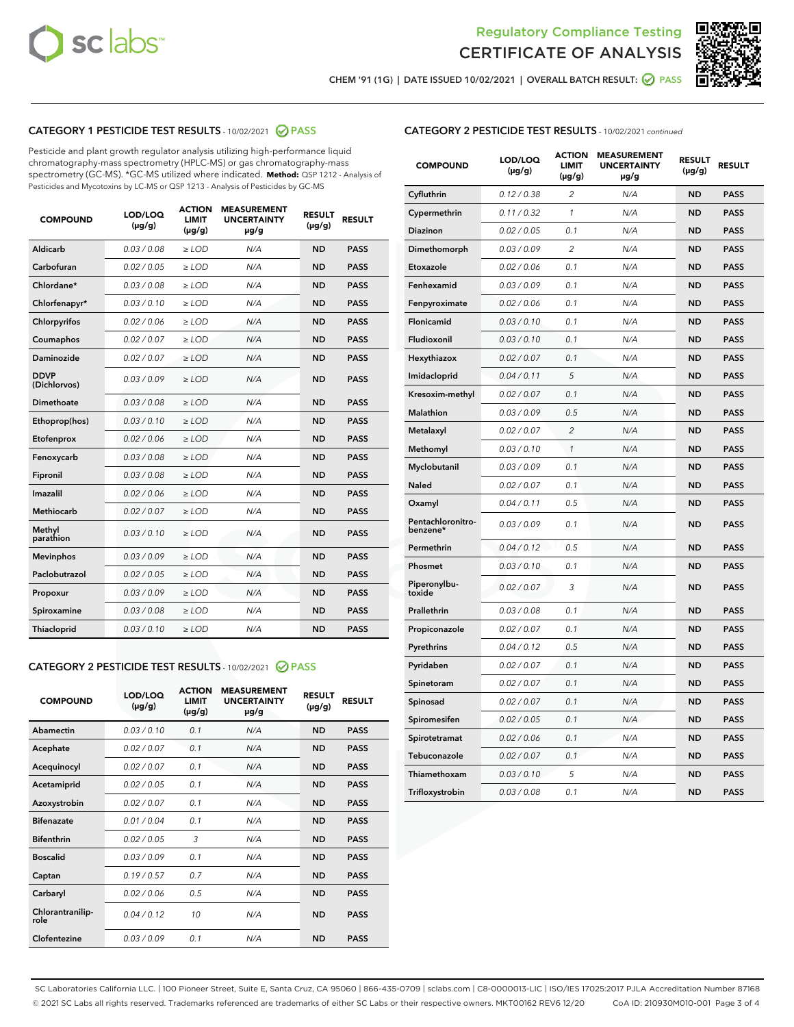



CHEM '91 (1G) | DATE ISSUED 10/02/2021 | OVERALL BATCH RESULT:  $\bigcirc$  PASS

## CATEGORY 1 PESTICIDE TEST RESULTS - 10/02/2021 2 PASS

Pesticide and plant growth regulator analysis utilizing high-performance liquid chromatography-mass spectrometry (HPLC-MS) or gas chromatography-mass spectrometry (GC-MS). \*GC-MS utilized where indicated. **Method:** QSP 1212 - Analysis of Pesticides and Mycotoxins by LC-MS or QSP 1213 - Analysis of Pesticides by GC-MS

| <b>COMPOUND</b>             | LOD/LOQ<br>$(\mu g/g)$ | <b>ACTION</b><br><b>LIMIT</b><br>$(\mu g/g)$ | <b>MEASUREMENT</b><br><b>UNCERTAINTY</b><br>µg/g | <b>RESULT</b><br>$(\mu g/g)$ | <b>RESULT</b> |
|-----------------------------|------------------------|----------------------------------------------|--------------------------------------------------|------------------------------|---------------|
| Aldicarb                    | 0.03/0.08              | $>$ LOD                                      | N/A                                              | <b>ND</b>                    | <b>PASS</b>   |
| Carbofuran                  | 0.02 / 0.05            | $\ge$ LOD                                    | N/A                                              | <b>ND</b>                    | <b>PASS</b>   |
| Chlordane*                  | 0.03/0.08              | $>$ LOD                                      | N/A                                              | <b>ND</b>                    | <b>PASS</b>   |
| Chlorfenapyr*               | 0.03 / 0.10            | $\ge$ LOD                                    | N/A                                              | <b>ND</b>                    | <b>PASS</b>   |
| Chlorpyrifos                | 0.02 / 0.06            | $\ge$ LOD                                    | N/A                                              | <b>ND</b>                    | <b>PASS</b>   |
| Coumaphos                   | 0.02 / 0.07            | $\ge$ LOD                                    | N/A                                              | <b>ND</b>                    | <b>PASS</b>   |
| Daminozide                  | 0.02 / 0.07            | $\ge$ LOD                                    | N/A                                              | <b>ND</b>                    | <b>PASS</b>   |
| <b>DDVP</b><br>(Dichlorvos) | 0.03/0.09              | $\ge$ LOD                                    | N/A                                              | <b>ND</b>                    | <b>PASS</b>   |
| <b>Dimethoate</b>           | 0.03/0.08              | $\ge$ LOD                                    | N/A                                              | <b>ND</b>                    | <b>PASS</b>   |
| Ethoprop(hos)               | 0.03/0.10              | $\ge$ LOD                                    | N/A                                              | <b>ND</b>                    | <b>PASS</b>   |
| Etofenprox                  | 0.02 / 0.06            | $\ge$ LOD                                    | N/A                                              | <b>ND</b>                    | <b>PASS</b>   |
| Fenoxycarb                  | 0.03 / 0.08            | $\ge$ LOD                                    | N/A                                              | <b>ND</b>                    | <b>PASS</b>   |
| Fipronil                    | 0.03/0.08              | $>$ LOD                                      | N/A                                              | <b>ND</b>                    | <b>PASS</b>   |
| Imazalil                    | 0.02 / 0.06            | $\ge$ LOD                                    | N/A                                              | <b>ND</b>                    | <b>PASS</b>   |
| Methiocarb                  | 0.02 / 0.07            | $\ge$ LOD                                    | N/A                                              | <b>ND</b>                    | <b>PASS</b>   |
| Methyl<br>parathion         | 0.03/0.10              | $\ge$ LOD                                    | N/A                                              | <b>ND</b>                    | <b>PASS</b>   |
| <b>Mevinphos</b>            | 0.03/0.09              | $\ge$ LOD                                    | N/A                                              | <b>ND</b>                    | <b>PASS</b>   |
| Paclobutrazol               | 0.02 / 0.05            | $>$ LOD                                      | N/A                                              | <b>ND</b>                    | <b>PASS</b>   |
| Propoxur                    | 0.03/0.09              | $\ge$ LOD                                    | N/A                                              | <b>ND</b>                    | <b>PASS</b>   |
| Spiroxamine                 | 0.03 / 0.08            | $\ge$ LOD                                    | N/A                                              | <b>ND</b>                    | <b>PASS</b>   |
| Thiacloprid                 | 0.03/0.10              | $\ge$ LOD                                    | N/A                                              | <b>ND</b>                    | <b>PASS</b>   |

#### CATEGORY 2 PESTICIDE TEST RESULTS - 10/02/2021 @ PASS

| <b>COMPOUND</b>          | LOD/LOQ<br>$(\mu g/g)$ | <b>ACTION</b><br><b>LIMIT</b><br>$(\mu g/g)$ | <b>MEASUREMENT</b><br><b>UNCERTAINTY</b><br>$\mu$ g/g | <b>RESULT</b><br>$(\mu g/g)$ | <b>RESULT</b> |
|--------------------------|------------------------|----------------------------------------------|-------------------------------------------------------|------------------------------|---------------|
| Abamectin                | 0.03/0.10              | 0.1                                          | N/A                                                   | <b>ND</b>                    | <b>PASS</b>   |
| Acephate                 | 0.02/0.07              | 0.1                                          | N/A                                                   | <b>ND</b>                    | <b>PASS</b>   |
| Acequinocyl              | 0.02/0.07              | 0.1                                          | N/A                                                   | <b>ND</b>                    | <b>PASS</b>   |
| Acetamiprid              | 0.02/0.05              | 0.1                                          | N/A                                                   | <b>ND</b>                    | <b>PASS</b>   |
| Azoxystrobin             | 0 02 / 0 07            | 0.1                                          | N/A                                                   | <b>ND</b>                    | <b>PASS</b>   |
| <b>Bifenazate</b>        | 0.01/0.04              | 0.1                                          | N/A                                                   | <b>ND</b>                    | <b>PASS</b>   |
| <b>Bifenthrin</b>        | 0.02 / 0.05            | 3                                            | N/A                                                   | <b>ND</b>                    | <b>PASS</b>   |
| <b>Boscalid</b>          | 0.03/0.09              | 0.1                                          | N/A                                                   | <b>ND</b>                    | <b>PASS</b>   |
| Captan                   | 0.19/0.57              | 0.7                                          | N/A                                                   | <b>ND</b>                    | <b>PASS</b>   |
| Carbaryl                 | 0.02/0.06              | 0.5                                          | N/A                                                   | <b>ND</b>                    | <b>PASS</b>   |
| Chlorantranilip-<br>role | 0.04/0.12              | 10                                           | N/A                                                   | <b>ND</b>                    | <b>PASS</b>   |
| Clofentezine             | 0.03/0.09              | 0.1                                          | N/A                                                   | <b>ND</b>                    | <b>PASS</b>   |

## CATEGORY 2 PESTICIDE TEST RESULTS - 10/02/2021 continued

| <b>COMPOUND</b>               | LOD/LOQ<br>(µg/g) | <b>ACTION</b><br>LIMIT<br>$(\mu g/g)$ | <b>MEASUREMENT</b><br><b>UNCERTAINTY</b><br>µg/g | <b>RESULT</b><br>(µg/g) | <b>RESULT</b> |
|-------------------------------|-------------------|---------------------------------------|--------------------------------------------------|-------------------------|---------------|
| Cyfluthrin                    | 0.12 / 0.38       | 2                                     | N/A                                              | ND                      | <b>PASS</b>   |
| Cypermethrin                  | 0.11 / 0.32       | $\mathbf{1}$                          | N/A                                              | ND                      | <b>PASS</b>   |
| Diazinon                      | 0.02 / 0.05       | 0.1                                   | N/A                                              | ND                      | <b>PASS</b>   |
| Dimethomorph                  | 0.03 / 0.09       | $\overline{c}$                        | N/A                                              | ND                      | <b>PASS</b>   |
| Etoxazole                     | 0.02 / 0.06       | 0.1                                   | N/A                                              | ND                      | <b>PASS</b>   |
| Fenhexamid                    | 0.03 / 0.09       | 0.1                                   | N/A                                              | ND                      | <b>PASS</b>   |
| Fenpyroximate                 | 0.02 / 0.06       | 0.1                                   | N/A                                              | ND                      | <b>PASS</b>   |
| Flonicamid                    | 0.03 / 0.10       | 0.1                                   | N/A                                              | ND                      | <b>PASS</b>   |
| Fludioxonil                   | 0.03 / 0.10       | 0.1                                   | N/A                                              | ND                      | <b>PASS</b>   |
| Hexythiazox                   | 0.02 / 0.07       | 0.1                                   | N/A                                              | <b>ND</b>               | <b>PASS</b>   |
| Imidacloprid                  | 0.04 / 0.11       | 5                                     | N/A                                              | ND                      | <b>PASS</b>   |
| Kresoxim-methyl               | 0.02 / 0.07       | 0.1                                   | N/A                                              | ND                      | <b>PASS</b>   |
| Malathion                     | 0.03 / 0.09       | 0.5                                   | N/A                                              | ND                      | <b>PASS</b>   |
| Metalaxyl                     | 0.02 / 0.07       | $\overline{c}$                        | N/A                                              | <b>ND</b>               | <b>PASS</b>   |
| Methomyl                      | 0.03 / 0.10       | $\mathcal{I}$                         | N/A                                              | <b>ND</b>               | <b>PASS</b>   |
| Myclobutanil                  | 0.03 / 0.09       | 0.1                                   | N/A                                              | <b>ND</b>               | <b>PASS</b>   |
| Naled                         | 0.02 / 0.07       | 0.1                                   | N/A                                              | ND                      | <b>PASS</b>   |
| Oxamyl                        | 0.04 / 0.11       | 0.5                                   | N/A                                              | ND                      | PASS          |
| Pentachloronitro-<br>benzene* | 0.03 / 0.09       | 0.1                                   | N/A                                              | ND                      | <b>PASS</b>   |
| Permethrin                    | 0.04 / 0.12       | 0.5                                   | N/A                                              | <b>ND</b>               | <b>PASS</b>   |
| Phosmet                       | 0.03 / 0.10       | 0.1                                   | N/A                                              | <b>ND</b>               | <b>PASS</b>   |
| Piperonylbu-<br>toxide        | 0.02 / 0.07       | 3                                     | N/A                                              | ND                      | <b>PASS</b>   |
| Prallethrin                   | 0.03 / 0.08       | 0.1                                   | N/A                                              | <b>ND</b>               | <b>PASS</b>   |
| Propiconazole                 | 0.02 / 0.07       | 0.1                                   | N/A                                              | ND                      | <b>PASS</b>   |
| Pyrethrins                    | 0.04 / 0.12       | 0.5                                   | N/A                                              | ND                      | <b>PASS</b>   |
| Pyridaben                     | 0.02 / 0.07       | 0.1                                   | N/A                                              | ND                      | <b>PASS</b>   |
| Spinetoram                    | 0.02 / 0.07       | 0.1                                   | N/A                                              | ND                      | PASS          |
| Spinosad                      | 0.02 / 0.07       | 0.1                                   | N/A                                              | ND                      | PASS          |
| Spiromesifen                  | 0.02 / 0.05       | 0.1                                   | N/A                                              | <b>ND</b>               | <b>PASS</b>   |
| Spirotetramat                 | 0.02 / 0.06       | 0.1                                   | N/A                                              | ND                      | <b>PASS</b>   |
| Tebuconazole                  | 0.02 / 0.07       | 0.1                                   | N/A                                              | ND                      | PASS          |
| Thiamethoxam                  | 0.03 / 0.10       | 5                                     | N/A                                              | ND                      | <b>PASS</b>   |
| Trifloxystrobin               | 0.03 / 0.08       | 0.1                                   | N/A                                              | <b>ND</b>               | <b>PASS</b>   |

SC Laboratories California LLC. | 100 Pioneer Street, Suite E, Santa Cruz, CA 95060 | 866-435-0709 | sclabs.com | C8-0000013-LIC | ISO/IES 17025:2017 PJLA Accreditation Number 87168 © 2021 SC Labs all rights reserved. Trademarks referenced are trademarks of either SC Labs or their respective owners. MKT00162 REV6 12/20 CoA ID: 210930M010-001 Page 3 of 4